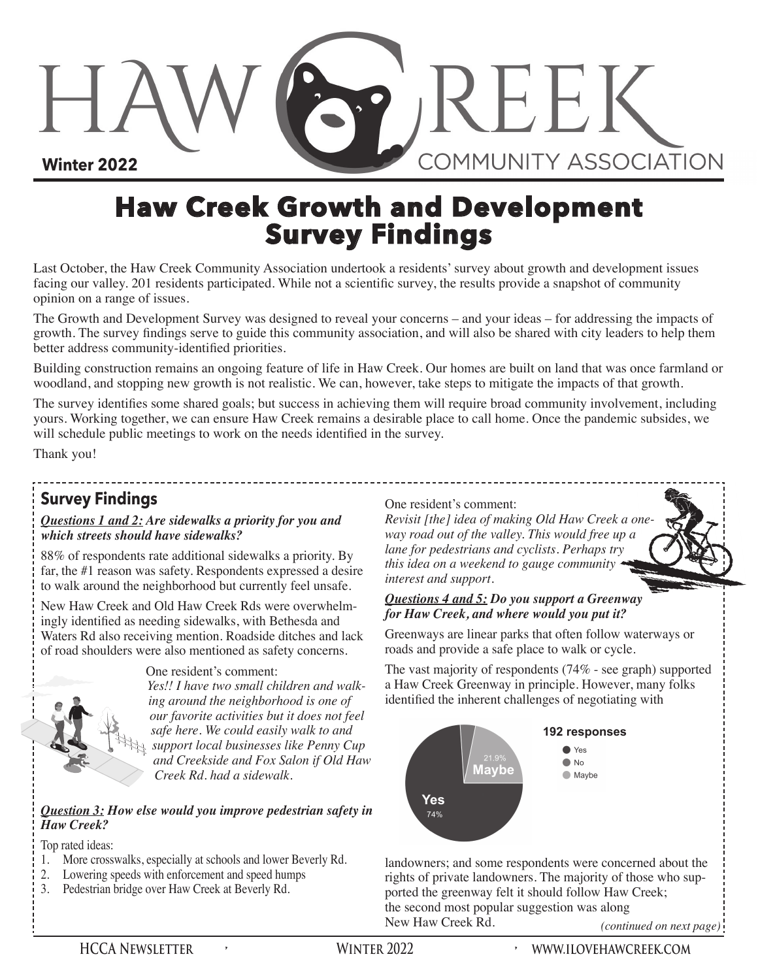**Winter 2022**

# **Haw Creek Growth and Development Survey Findings**

Last October, the Haw Creek Community Association undertook a residents' survey about growth and development issues facing our valley. 201 residents participated. While not a scientific survey, the results provide a snapshot of community opinion on a range of issues.

The Growth and Development Survey was designed to reveal your concerns – and your ideas – for addressing the impacts of growth. The survey findings serve to guide this community association, and will also be shared with city leaders to help them better address community-identified priorities.

Building construction remains an ongoing feature of life in Haw Creek. Our homes are built on land that was once farmland or woodland, and stopping new growth is not realistic. We can, however, take steps to mitigate the impacts of that growth.

The survey identifies some shared goals; but success in achieving them will require broad community involvement, including yours. Working together, we can ensure Haw Creek remains a desirable place to call home. Once the pandemic subsides, we will schedule public meetings to work on the needs identified in the survey.

Thank you!

# **Survey Findings**

#### *Questions 1 and 2: Are sidewalks a priority for you and which streets should have sidewalks?*

88% of respondents rate additional sidewalks a priority. By far, the #1 reason was safety. Respondents expressed a desire to walk around the neighborhood but currently feel unsafe.

New Haw Creek and Old Haw Creek Rds were overwhelmingly identified as needing sidewalks, with Bethesda and Waters Rd also receiving mention. Roadside ditches and lack of road shoulders were also mentioned as safety concerns.



One resident's comment:

*Yes!! I have two small children and walking around the neighborhood is one of our favorite activities but it does not feel safe here. We could easily walk to and support local businesses like Penny Cup and Creekside and Fox Salon if Old Haw Creek Rd. had a sidewalk.* 

*Question 3: How else would you improve pedestrian safety in Haw Creek?*

Top rated ideas:

- 1. More crosswalks, especially at schools and lower Beverly Rd.
- 2. Lowering speeds with enforcement and speed humps
- 3. Pedestrian bridge over Haw Creek at Beverly Rd.

#### One resident's comment:

*Revisit [the] idea of making Old Haw Creek a oneway road out of the valley. This would free up a lane for pedestrians and cyclists. Perhaps try this idea on a weekend to gauge community interest and support.*

SP REEK

**COMMUNITY ASSOCIATION** 

### *Questions 4 and 5: Do you support a Greenway for Haw Creek, and where would you put it?*

Greenways are linear parks that often follow waterways or roads and provide a safe place to walk or cycle.

The vast majority of respondents (74% - see graph) supported a Haw Creek Greenway in principle. However, many folks identified the inherent challenges of negotiating with



landowners; and some respondents were concerned about the rights of private landowners. The majority of those who supported the greenway felt it should follow Haw Creek; the second most popular suggestion was along<br>New Haw Creek Rd. (continuous)

(*continued on next page*)<sup></sup>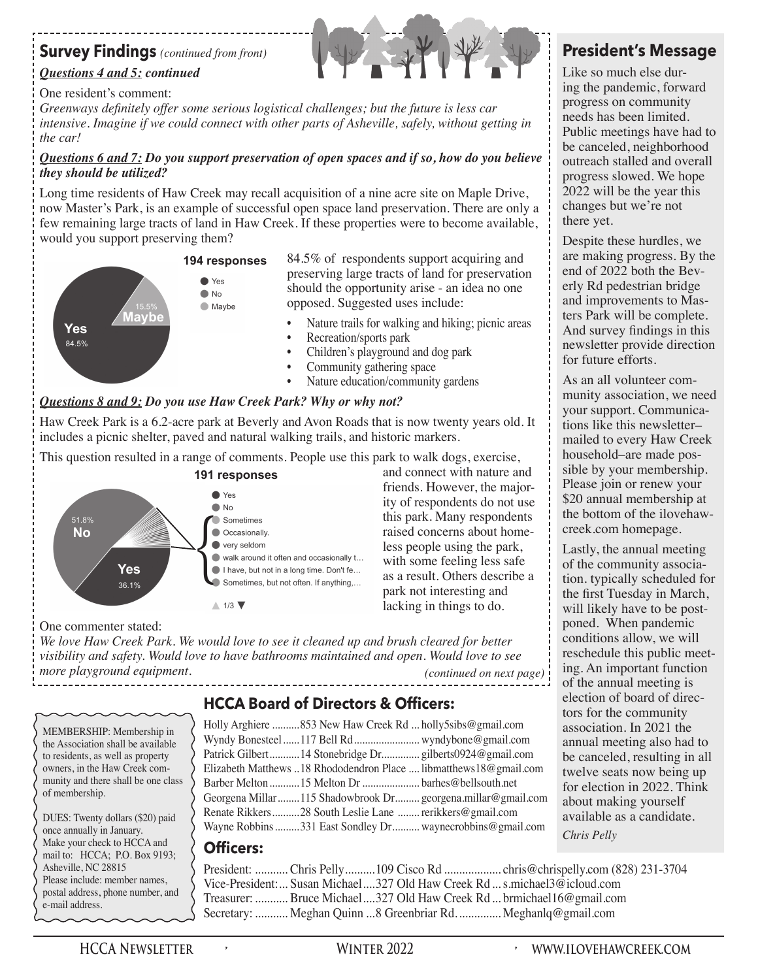## **Survey Findings** *(continued from front)*

### *Questions 4 and 5: continued*

### One resident's comment:

*Greenways definitely offer some serious logistical challenges; but the future is less car*  intensive. Imagine if we could connect with other parts of Asheville, safely, without getting in *the car!* 

### *Questions 6 and 7: Do you support preservation of open spaces and if so, how do you believe they should be utilized?*

Long time residents of Haw Creek may recall acquisition of a nine acre site on Maple Drive, now Master's Park, is an example of successful open space land preservation. There are only a few remaining large tracts of land in Haw Creek. If these properties were to become available, would you support preserving them?



84.5% of respondents support acquiring and preserving large tracts of land for preservation should the opportunity arise - an idea no one opposed. Suggested uses include:

- Nature trails for walking and hiking; picnic areas
- Recreation/sports park
- Children's playground and dog park
- Community gathering space
- Nature education/community gardens

### *Questions 8 and 9: Do you use Haw Creek Park? Why or why not?*

Haw Creek Park is a 6.2-acre park at Beverly and Avon Roads that is now twenty years old. It includes a picnic shelter, paved and natural walking trails, and historic markers.

This question resulted in a range of comments. People use this park to walk dogs, exercise,



and connect with nature and friends. However, the majority of respondents do not use this park. Many respondents raised concerns about homeless people using the park, with some feeling less safe as a result. Others describe a park not interesting and lacking in things to do.

*We love Haw Creek Park. We would love to see it cleaned up and brush cleared for better visibility and safety. Would love to have bathrooms maintained and open. Would love to see more playground equipment. (continued on next page)*

### **HCCA Board of Directors & Officers:**

MEMBERSHIP: Membership in the Association shall be available to residents, as well as property owners, in the Haw Creek community and there shall be one class of membership.

One commenter stated:

DUES: Twenty dollars (\$20) paid once annually in January. Make your check to HCCA and mail to: HCCA; P.O. Box 9193; Asheville, NC 28815 Please include: member names, postal address, phone number, and e-mail address.

| Holly Arghiere 853 New Haw Creek Rd  holly5sibs@gmail.com |                                                                   |
|-----------------------------------------------------------|-------------------------------------------------------------------|
|                                                           |                                                                   |
|                                                           |                                                                   |
|                                                           | Elizabeth Matthews 18 Rhododendron Place  libmatthews18@gmail.com |
| Barber Melton 15 Melton Dr barhes@bellsouth.net           |                                                                   |
|                                                           | Georgena Millar 115 Shadowbrook Dr georgena.millar@gmail.com      |
| Renate Rikkers28 South Leslie Lane  rerikkers@gmail.com   |                                                                   |
|                                                           | Wayne Robbins 331 East Sondley Dr waynecrobbins@gmail.com         |
|                                                           |                                                                   |

### **Officers:**

| President:  Chris Pelly  109 Cisco Rd  chris@chrispelly.com (828) 231-3704 |  |
|----------------------------------------------------------------------------|--|
| Vice-President:  Susan Michael 327 Old Haw Creek Rd  s.michael3@icloud.com |  |
| Treasurer:  Bruce Michael 327 Old Haw Creek Rd  brmichael16@gmail.com      |  |
| Secretary:  Meghan Quinn 8 Greenbriar Rd.  Meghanlq@gmail.com              |  |

# **President's Message**

Like so much else during the pandemic, forward progress on community needs has been limited. Public meetings have had to be canceled, neighborhood outreach stalled and overall progress slowed. We hope 2022 will be the year this changes but we're not there yet.

Despite these hurdles, we are making progress. By the end of 2022 both the Beverly Rd pedestrian bridge and improvements to Masters Park will be complete. And survey findings in this newsletter provide direction for future efforts.

As an all volunteer community association, we need your support. Communications like this newsletter– mailed to every Haw Creek household–are made possible by your membership. Please join or renew your \$20 annual membership at the bottom of the ilovehawcreek.com homepage.

Lastly, the annual meeting of the community association. typically scheduled for the first Tuesday in March, will likely have to be postponed. When pandemic conditions allow, we will reschedule this public meeting. An important function of the annual meeting is election of board of directors for the community association. In 2021 the annual meeting also had to be canceled, resulting in all twelve seats now being up for election in 2022. Think about making yourself available as a candidate. *Chris Pelly*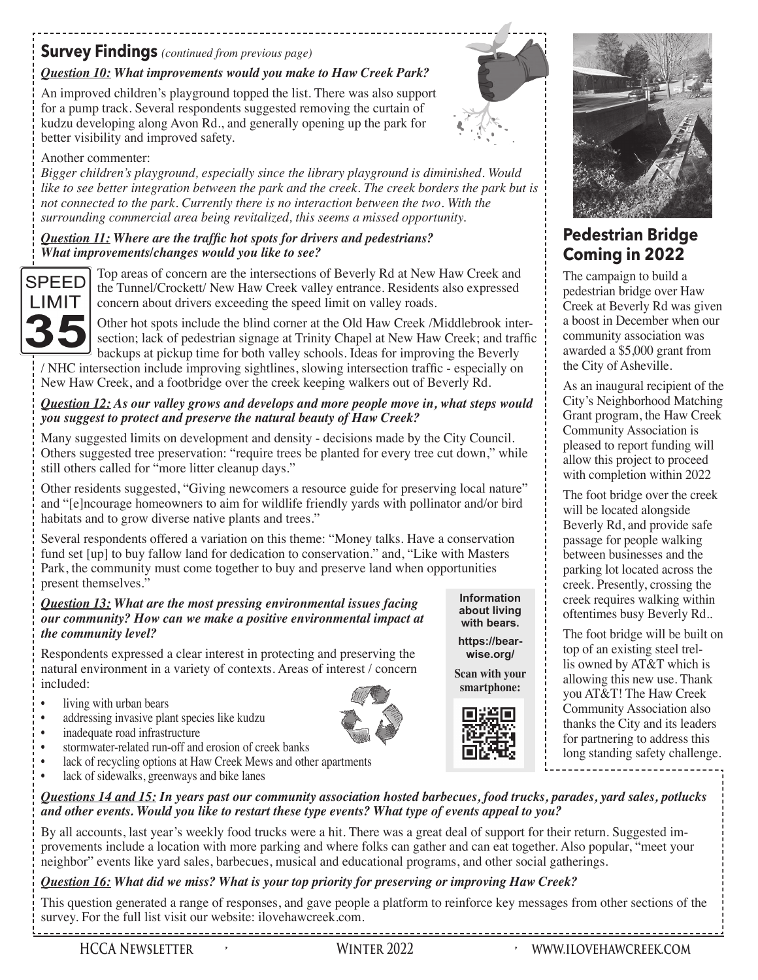# **Survey Findings** *(continued from previous page)*

### *Question 10: What improvements would you make to Haw Creek Park?*

An improved children's playground topped the list. There was also support for a pump track. Several respondents suggested removing the curtain of kudzu developing along Avon Rd., and generally opening up the park for better visibility and improved safety.



**Information about living with bears. https://bearwise.org/ Scan with your smartphone:**

### Another commenter:

*Bigger children's playground, especially since the library playground is diminished. Would like to see better integration between the park and the creek. The creek borders the park but is not connected to the park. Currently there is no interaction between the two. With the surrounding commercial area being revitalized, this seems a missed opportunity.* 

### *Question 11: Where are the traffic hot spots for drivers and pedestrians? What improvements/changes would you like to see?*



Top areas of concern are the intersections of Beverly Rd at New Haw Creek and the Tunnel/Crockett/ New Haw Creek valley entrance. Residents also expressed concern about drivers exceeding the speed limit on valley roads.

Other hot spots include the blind corner at the Old Haw Creek /Middlebrook intersection; lack of pedestrian signage at Trinity Chapel at New Haw Creek; and traffic backups at pickup time for both valley schools. Ideas for improving the Beverly

/ NHC intersection include improving sightlines, slowing intersection traffic - especially on New Haw Creek, and a footbridge over the creek keeping walkers out of Beverly Rd.

### *Question 12: As our valley grows and develops and more people move in, what steps would you suggest to protect and preserve the natural beauty of Haw Creek?*

Many suggested limits on development and density - decisions made by the City Council. Others suggested tree preservation: "require trees be planted for every tree cut down," while still others called for "more litter cleanup days."

Other residents suggested, "Giving newcomers a resource guide for preserving local nature" and "[e]ncourage homeowners to aim for wildlife friendly yards with pollinator and/or bird habitats and to grow diverse native plants and trees."

Several respondents offered a variation on this theme: "Money talks. Have a conservation fund set [up] to buy fallow land for dedication to conservation." and, "Like with Masters Park, the community must come together to buy and preserve land when opportunities present themselves."

#### *Question 13: What are the most pressing environmental issues facing our community? How can we make a positive environmental impact at the community level?*

Respondents expressed a clear interest in protecting and preserving the natural environment in a variety of contexts. Areas of interest / concern included:

- living with urban bears
- addressing invasive plant species like kudzu
- inadequate road infrastructure
- stormwater-related run-off and erosion of creek banks
- lack of recycling options at Haw Creek Mews and other apartments
- lack of sidewalks, greenways and bike lanes

*Questions 14 and 15: In years past our community association hosted barbecues, food trucks, parades, yard sales, potlucks and other events. Would you like to restart these type events? What type of events appeal to you?*

By all accounts, last year's weekly food trucks were a hit. There was a great deal of support for their return. Suggested improvements include a location with more parking and where folks can gather and can eat together. Also popular, "meet your neighbor" events like yard sales, barbecues, musical and educational programs, and other social gatherings.

### *Question 16: What did we miss? What is your top priority for preserving or improving Haw Creek?*

This question generated a range of responses, and gave people a platform to reinforce key messages from other sections of the survey. For the full list visit our website: ilovehawcreek.com.



# **Pedestrian Bridge Coming in 2022**

The campaign to build a pedestrian bridge over Haw Creek at Beverly Rd was given a boost in December when our community association was awarded a \$5,000 grant from the City of Asheville.

As an inaugural recipient of the City's Neighborhood Matching Grant program, the Haw Creek Community Association is pleased to report funding will allow this project to proceed with completion within 2022

The foot bridge over the creek will be located alongside Beverly Rd, and provide safe passage for people walking between businesses and the parking lot located across the creek. Presently, crossing the creek requires walking within oftentimes busy Beverly Rd..

The foot bridge will be built on top of an existing steel trellis owned by AT&T which is allowing this new use. Thank you AT&T! The Haw Creek Community Association also thanks the City and its leaders for partnering to address this long standing safety challenge.